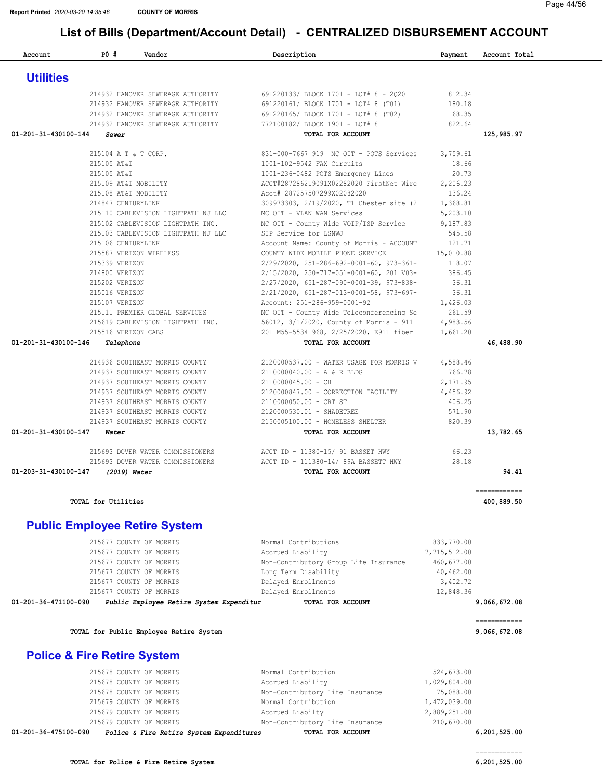Account 20 PD # Vendor Payment Account Total Description Payment Account Total

| <b>Utilities</b>               |                                                           |                                                                                                                                                                                                 |              |                              |
|--------------------------------|-----------------------------------------------------------|-------------------------------------------------------------------------------------------------------------------------------------------------------------------------------------------------|--------------|------------------------------|
|                                |                                                           | 214932 HANOVER SEWERAGE AUTHORITY 691220133/ BLOCK 1701 - LOT# 8 - 2020 812.34                                                                                                                  |              |                              |
|                                |                                                           | 214932 HANOVER SEWERAGE AUTHORITY 691220161/ BLOCK 1701 - LOT# 8 (T01) 180.18                                                                                                                   |              |                              |
|                                |                                                           | 214932 HANOVER SEWERAGE AUTHORITY 691220165/BLOCK 1701 - LOT# 8 (T02)<br>214932 HANOVER SEWERAGE AUTHORITY 772100182/BLOCK 1901 - LOT# 8                                                        | 68.35        |                              |
|                                |                                                           |                                                                                                                                                                                                 | 822.64       |                              |
| 01-201-31-430100-144           | Sewer                                                     | TOTAL FOR ACCOUNT                                                                                                                                                                               |              | 125,985.97                   |
|                                | 215104 A T & T CORP.                                      | 831-000-7667 919 MC OIT - POTS Services 3,759.61                                                                                                                                                |              |                              |
|                                | 215105 AT&T                                               | 1001-102-9542 FAX Circuits                                                                                                                                                                      | 18.66        |                              |
|                                | 215105 AT&T                                               | 1001-236-0482 POTS Emergency Lines                                                                                                                                                              | 20.73        |                              |
|                                | 215109 AT&T MOBILITY                                      | ACCT#287286219091X02282020 FirstNet Wire                                                                                                                                                        | 2,206.23     |                              |
|                                | 215108 AT&T MOBILITY                                      | Acct# 287257507299X02082020                                                                                                                                                                     | 136.24       |                              |
|                                | 214847 CENTURYLINK                                        | 309973303, 2/19/2020, T1 Chester site (2 1,368.81                                                                                                                                               |              |                              |
|                                | 215110 CABLEVISION LIGHTPATH NJ LLC                       | MC OIT - VLAN WAN Services                                                                                                                                                                      | 5,203.10     |                              |
|                                |                                                           | 215102 CABLEVISION LIGHTPATH INC. MC OIT - County Wide VOIP/ISP Service 9,187.83                                                                                                                |              |                              |
|                                | 215103 CABLEVISION LIGHTPATH NJ LLC SIP Service for LSNWJ |                                                                                                                                                                                                 | 545.58       |                              |
|                                | 215106 CENTURYLINK                                        | Account Name: County of Morris - ACCOUNT 121.71                                                                                                                                                 |              |                              |
|                                | 215587 VERIZON WIRELESS                                   | COUNTY WIDE MOBILE PHONE SERVICE                                                                                                                                                                | 15,010.88    |                              |
|                                | 215339 VERIZON                                            | $2/29/2020, \;\; 251-286-692-0001-60, \;\; 973-361- \qquad \qquad 118.07$                                                                                                                       |              |                              |
|                                | 214800 VERIZON                                            | 2/15/2020, 250-717-051-0001-60, 201 V03-                                                                                                                                                        | 386.45       |                              |
|                                | 215202 VERIZON                                            | $2/27/2020$ , 651-287-090-0001-39, 973-838-<br>36.31                                                                                                                                            |              |                              |
|                                | 215016 VERIZON                                            | $2/21/2020$ , $651-287-013-0001-58$ , $973-697-$ 36.31                                                                                                                                          |              |                              |
|                                |                                                           | 215107 VERIZON 1,426.03<br>215111 PREMIER GLOBAL SERVICES MC OIT - County Wide Teleconferencing Se 261.59<br>215619 CABLEVISION LIGHTPATH INC. 56012, 3/1/2020, County of Morris - 911 4,983.56 |              |                              |
|                                |                                                           |                                                                                                                                                                                                 |              |                              |
|                                |                                                           |                                                                                                                                                                                                 |              |                              |
|                                | 215516 VERIZON CABS                                       | 201 M55-5534 968, 2/25/2020, E911 fiber 1,661.20                                                                                                                                                |              |                              |
| 01-201-31-430100-146 Telephone |                                                           | TOTAL FOR ACCOUNT                                                                                                                                                                               |              | 46,488.90                    |
|                                | 214936 SOUTHEAST MORRIS COUNTY                            | 2120000537.00 - WATER USAGE FOR MORRIS V 4,588.46                                                                                                                                               |              |                              |
|                                | 214937 SOUTHEAST MORRIS COUNTY                            | 2110000040.00 - A & R BLDG                                                                                                                                                                      | 766.78       |                              |
|                                | 214937 SOUTHEAST MORRIS COUNTY                            | 2110000045.00 - CH                                                                                                                                                                              | 2,171.95     |                              |
|                                | 214937 SOUTHEAST MORRIS COUNTY                            | 2120000847.00 - CORRECTION FACILITY                                                                                                                                                             | 4,456.92     |                              |
|                                | 214937 SOUTHEAST MORRIS COUNTY                            | 2110000050.00 - CRT ST                                                                                                                                                                          | 406.25       |                              |
|                                | 214937 SOUTHEAST MORRIS COUNTY 2120000530.01 - SHADETREE  |                                                                                                                                                                                                 | 571.90       |                              |
|                                |                                                           | 214937 SOUTHEAST MORRIS COUNTY 2150005100.00 - HOMELESS SHELTER                                                                                                                                 | 820.39       |                              |
| 01-201-31-430100-147           | Water                                                     | TOTAL FOR ACCOUNT                                                                                                                                                                               |              | 13,782.65                    |
|                                |                                                           |                                                                                                                                                                                                 | 66.23        |                              |
|                                |                                                           | 215693 DOVER WATER COMMISSIONERS ACCT ID - 11380-15/ 91 BASSET HWY                                                                                                                              | 28.18        |                              |
|                                | 01-203-31-430100-147 (2019) Water                         | 215693 DOVER WATER COMMISSIONERS ACCT ID - 111380-14/89A BASSETT HWY<br>TOTAL FOR ACCOUNT                                                                                                       |              | 94.41                        |
|                                |                                                           |                                                                                                                                                                                                 |              | ============                 |
|                                | TOTAL for Utilities                                       |                                                                                                                                                                                                 |              | 400,889.50                   |
|                                | <b>Public Employee Retire System</b>                      |                                                                                                                                                                                                 |              |                              |
|                                |                                                           |                                                                                                                                                                                                 |              |                              |
|                                | 215677 COUNTY OF MORRIS<br>215677 COUNTY OF MORRIS        | Normal Contributions                                                                                                                                                                            | 833,770.00   |                              |
|                                |                                                           | Accrued Liability                                                                                                                                                                               | 7,715,512.00 |                              |
|                                | 215677 COUNTY OF MORRIS                                   | Non-Contributory Group Life Insurance                                                                                                                                                           | 460,677.00   |                              |
|                                | 215677 COUNTY OF MORRIS                                   | Long Term Disability                                                                                                                                                                            | 40,462.00    |                              |
|                                | 215677 COUNTY OF MORRIS                                   | Delayed Enrollments                                                                                                                                                                             | 3,402.72     |                              |
|                                | 215677 COUNTY OF MORRIS                                   | Delayed Enrollments                                                                                                                                                                             | 12,848.36    |                              |
| 01-201-36-471100-090           | Public Employee Retire System Expenditur                  | TOTAL FOR ACCOUNT                                                                                                                                                                               |              | 9,066,672.08                 |
|                                | TOTAL for Public Employee Retire System                   |                                                                                                                                                                                                 |              | ------------<br>9,066,672.08 |
|                                |                                                           |                                                                                                                                                                                                 |              |                              |
|                                | <b>Police &amp; Fire Retire System</b>                    |                                                                                                                                                                                                 |              |                              |
|                                | 215678 COUNTY OF MORRIS                                   | Normal Contribution                                                                                                                                                                             | 524,673.00   |                              |
|                                | 215678 COUNTY OF MORRIS                                   | Accrued Liability                                                                                                                                                                               | 1,029,804.00 |                              |
|                                | 215678 COUNTY OF MORRIS                                   | Non-Contributory Life Insurance                                                                                                                                                                 | 75,088.00    |                              |
|                                | 215679 COUNTY OF MORRIS                                   | Normal Contribution                                                                                                                                                                             | 1,472,039.00 |                              |
|                                | 215679 COUNTY OF MORRIS                                   | Accrued Liabilty                                                                                                                                                                                | 2,889,251.00 |                              |

215679 COUNTY OF MORRIS Non-Contributory Life Insurance [210,670.00](https://210,670.00)<br>**0** Police & Fire Retire System Expenditures TOTAL FOR ACCOUNT 01-201-36-475100-090 Police & Fire Retire System Expenditures TOTAL FOR ACCOUNT [6,201,525.00](https://6,201,525.00)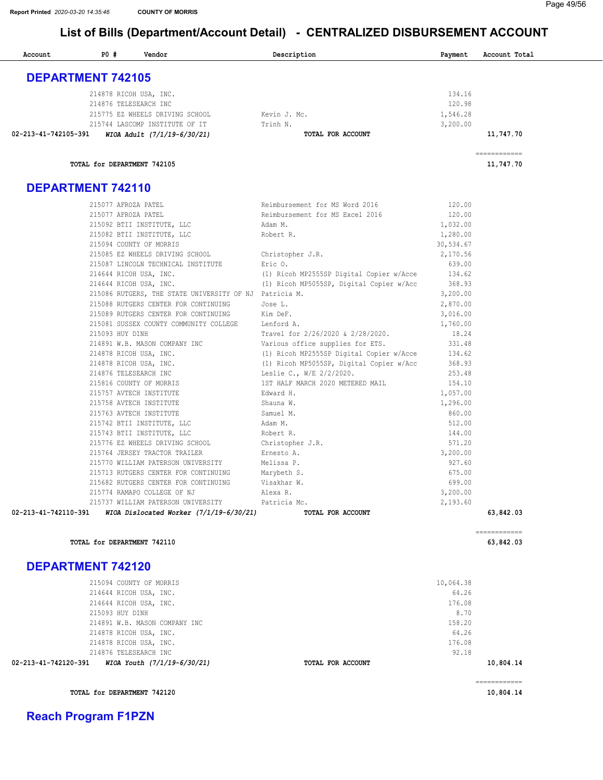| Account                  | P0#                         | Vendor                                                              | Description                                                                          | Payment          | Account Total             |
|--------------------------|-----------------------------|---------------------------------------------------------------------|--------------------------------------------------------------------------------------|------------------|---------------------------|
| <b>DEPARTMENT 742105</b> |                             |                                                                     |                                                                                      |                  |                           |
|                          |                             |                                                                     |                                                                                      |                  |                           |
|                          |                             | 214878 RICOH USA, INC.<br>214876 TELESEARCH INC                     |                                                                                      | 134.16<br>120.98 |                           |
|                          |                             | 215775 EZ WHEELS DRIVING SCHOOL                                     | Kevin J. Mc.                                                                         | 1,546.28         |                           |
|                          |                             | 215744 LASCOMP INSTITUTE OF IT                                      | Trinh N.                                                                             | 3,200.00         |                           |
| 02-213-41-742105-391     |                             | WIOA Adult (7/1/19-6/30/21)                                         | TOTAL FOR ACCOUNT                                                                    |                  | 11,747.70                 |
|                          | TOTAL for DEPARTMENT 742105 |                                                                     |                                                                                      |                  | ------------<br>11,747.70 |
| <b>DEPARTMENT 742110</b> |                             |                                                                     |                                                                                      |                  |                           |
|                          | 215077 AFROZA PATEL         |                                                                     | Reimbursement for MS Word 2016                                                       | 120.00           |                           |
|                          | 215077 AFROZA PATEL         |                                                                     | Reimbursement for MS Excel 2016                                                      | 120.00           |                           |
|                          |                             | 215092 BTII INSTITUTE, LLC                                          | Adam M.                                                                              | 1,032.00         |                           |
|                          |                             | 215082 BTII INSTITUTE, LLC                                          | Robert R.                                                                            | 1,280.00         |                           |
|                          |                             | 215094 COUNTY OF MORRIS                                             |                                                                                      | 30,534.67        |                           |
|                          |                             | 215085 EZ WHEELS DRIVING SCHOOL                                     | Christopher J.R.                                                                     | 2,170.56         |                           |
|                          |                             | 215087 LINCOLN TECHNICAL INSTITUTE                                  | Eric 0.                                                                              | 639.00           |                           |
|                          |                             | 214644 RICOH USA, INC.<br>214644 RICOH USA, INC.                    | (1) Ricoh MP2555SP Digital Copier w/Acce<br>(1) Ricoh MP5055SP, Digital Copier w/Acc | 134.62<br>368.93 |                           |
|                          |                             | 215086 RUTGERS, THE STATE UNIVERSITY OF NJ Patricia M.              |                                                                                      | 3,200.00         |                           |
|                          |                             | 215088 RUTGERS CENTER FOR CONTINUING                                | Jose L.                                                                              | 2,870.00         |                           |
|                          |                             | 215089 RUTGERS CENTER FOR CONTINUING                                | Kim DeF.                                                                             | 3,016.00         |                           |
|                          |                             | 215081 SUSSEX COUNTY COMMUNITY COLLEGE                              | Lenford A.                                                                           | 1,760.00         |                           |
|                          | 215093 HUY DINH             |                                                                     | Travel for 2/26/2020 & 2/28/2020.                                                    | 18.24            |                           |
|                          |                             | 214891 W.B. MASON COMPANY INC                                       | Various office supplies for ETS.                                                     | 331.48           |                           |
|                          |                             | 214878 RICOH USA, INC.                                              | (1) Ricoh MP2555SP Digital Copier w/Acce                                             | 134.62           |                           |
|                          |                             | 214878 RICOH USA, INC.<br>214876 TELESEARCH INC                     | (1) Ricoh MP5055SP, Digital Copier w/Acc<br>Leslie C., W/E 2/2/2020.                 | 368.93<br>253.48 |                           |
|                          |                             | 215816 COUNTY OF MORRIS                                             | 1ST HALF MARCH 2020 METERED MAIL                                                     | 154.10           |                           |
|                          |                             | 215757 AVTECH INSTITUTE                                             | Edward H.                                                                            | 1,057.00         |                           |
|                          |                             | 215758 AVTECH INSTITUTE                                             | Shauna W.                                                                            | 1,296.00         |                           |
|                          |                             | 215763 AVTECH INSTITUTE                                             | Samuel M.                                                                            | 860.00           |                           |
|                          |                             | 215742 BTII INSTITUTE, LLC                                          | Adam M.                                                                              | 512.00           |                           |
|                          |                             | 215743 BTII INSTITUTE, LLC                                          | Robert R.                                                                            | 144.00           |                           |
|                          |                             | 215776 EZ WHEELS DRIVING SCHOOL                                     | Christopher J.R.                                                                     | 571.20           |                           |
|                          |                             | 215764 JERSEY TRACTOR TRAILER                                       | Ernesto A.                                                                           | 3,200.00         |                           |
|                          |                             | 215770 WILLIAM PATERSON UNIVERSITY                                  | Melissa P.                                                                           | 927.60           |                           |
|                          |                             | 215713 RUTGERS CENTER FOR CONTINUING                                | Marybeth S.                                                                          | 675.00<br>699.00 |                           |
|                          |                             | 215682 RUTGERS CENTER FOR CONTINUING<br>215774 RAMAPO COLLEGE OF NJ | Visakhar W.<br>Alexa R.                                                              | 3,200.00         |                           |
|                          |                             | 215737 WILLIAM PATERSON UNIVERSITY                                  | Patricia Mc.                                                                         | 2,193.60         |                           |
| 02-213-41-742110-391     |                             | WIOA Dislocated Worker (7/1/19-6/30/21)                             | TOTAL FOR ACCOUNT                                                                    |                  | 63,842.03                 |
|                          | TOTAL for DEPARTMENT 742110 |                                                                     |                                                                                      |                  | ============<br>63,842.03 |
| <b>DEPARTMENT 742120</b> |                             |                                                                     |                                                                                      |                  |                           |
|                          |                             |                                                                     |                                                                                      |                  |                           |
|                          |                             | 215094 COUNTY OF MORRIS                                             |                                                                                      | 10,064.38        |                           |
|                          |                             | 214644 RICOH USA, INC.                                              |                                                                                      | 64.26            |                           |
|                          |                             | 214644 RICOH USA, INC.                                              |                                                                                      | 176.08           |                           |
|                          | 215093 HUY DINH             |                                                                     |                                                                                      | 8.70<br>158.20   |                           |
|                          |                             | 214891 W.B. MASON COMPANY INC<br>214878 RICOH USA, INC.             |                                                                                      | 64.26            |                           |
|                          |                             | 214878 RICOH USA, INC.                                              |                                                                                      | 176.08           |                           |
|                          |                             | 214876 TELESEARCH INC                                               |                                                                                      | 92.18            |                           |
| 02-213-41-742120-391     |                             | WIOA Youth (7/1/19-6/30/21)                                         | TOTAL FOR ACCOUNT                                                                    |                  | 10,804.14                 |
|                          |                             |                                                                     |                                                                                      |                  |                           |

TOTAL for DEPARTMENT 742120 [10,804.14](https://10,804.14)

============

Reach Program F1PZN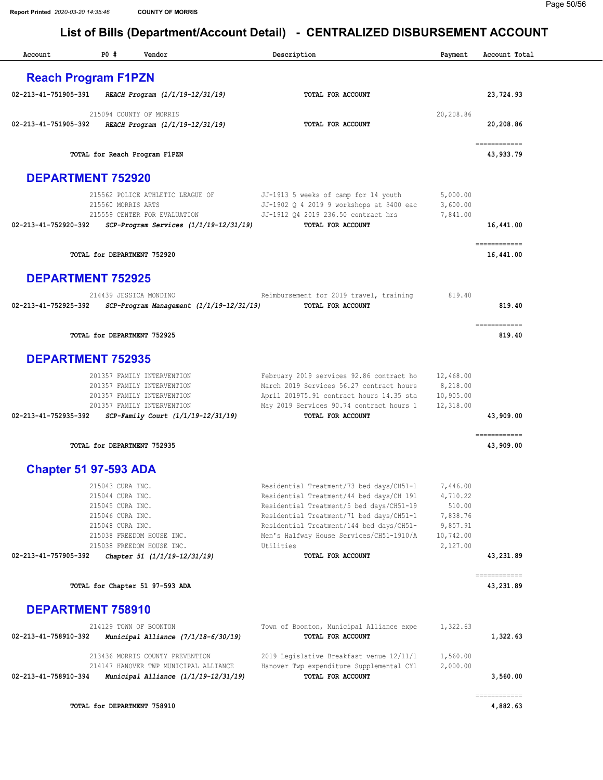| Account                      | P0#                                                                                              | Vendor                                                                                                                                                     | Description                                                                                                                                                                                                                                                                       | Payment                                                                         | Account Total             |
|------------------------------|--------------------------------------------------------------------------------------------------|------------------------------------------------------------------------------------------------------------------------------------------------------------|-----------------------------------------------------------------------------------------------------------------------------------------------------------------------------------------------------------------------------------------------------------------------------------|---------------------------------------------------------------------------------|---------------------------|
| <b>Reach Program F1PZN</b>   |                                                                                                  |                                                                                                                                                            |                                                                                                                                                                                                                                                                                   |                                                                                 |                           |
| 02-213-41-751905-391         |                                                                                                  | REACH Program (1/1/19-12/31/19)                                                                                                                            | TOTAL FOR ACCOUNT                                                                                                                                                                                                                                                                 |                                                                                 | 23,724.93                 |
| 02-213-41-751905-392         |                                                                                                  | 215094 COUNTY OF MORRIS<br>REACH Program (1/1/19-12/31/19)                                                                                                 | TOTAL FOR ACCOUNT                                                                                                                                                                                                                                                                 | 20,208.86                                                                       | 20,208.86                 |
|                              |                                                                                                  | TOTAL for Reach Program F1PZN                                                                                                                              |                                                                                                                                                                                                                                                                                   |                                                                                 | ============<br>43,933.79 |
| <b>DEPARTMENT 752920</b>     |                                                                                                  |                                                                                                                                                            |                                                                                                                                                                                                                                                                                   |                                                                                 |                           |
| 02-213-41-752920-392         | 215560 MORRIS ARTS                                                                               | 215562 POLICE ATHLETIC LEAGUE OF<br>215559 CENTER FOR EVALUATION<br>SCP-Program Services (1/1/19-12/31/19)                                                 | JJ-1913 5 weeks of camp for 14 youth<br>JJ-1902 Q 4 2019 9 workshops at \$400 eac<br>JJ-1912 Q4 2019 236.50 contract hrs<br>TOTAL FOR ACCOUNT                                                                                                                                     | 5,000.00<br>3,600.00<br>7,841.00                                                | 16,441.00                 |
|                              |                                                                                                  | TOTAL for DEPARTMENT 752920                                                                                                                                |                                                                                                                                                                                                                                                                                   |                                                                                 | ============<br>16,441.00 |
| <b>DEPARTMENT 752925</b>     |                                                                                                  |                                                                                                                                                            |                                                                                                                                                                                                                                                                                   |                                                                                 |                           |
| 02-213-41-752925-392         |                                                                                                  | 214439 JESSICA MONDINO<br>SCP-Program Management (1/1/19-12/31/19)                                                                                         | Reimbursement for 2019 travel, training<br>TOTAL FOR ACCOUNT                                                                                                                                                                                                                      | 819.40                                                                          | 819.40                    |
|                              |                                                                                                  | TOTAL for DEPARTMENT 752925                                                                                                                                |                                                                                                                                                                                                                                                                                   |                                                                                 | ============<br>819.40    |
| <b>DEPARTMENT 752935</b>     |                                                                                                  |                                                                                                                                                            |                                                                                                                                                                                                                                                                                   |                                                                                 |                           |
| 02-213-41-752935-392         |                                                                                                  | 201357 FAMILY INTERVENTION<br>201357 FAMILY INTERVENTION<br>201357 FAMILY INTERVENTION<br>201357 FAMILY INTERVENTION<br>SCP-Family Court (1/1/19-12/31/19) | February 2019 services 92.86 contract ho<br>March 2019 Services 56.27 contract hours<br>April 201975.91 contract hours 14.35 sta<br>May 2019 Services 90.74 contract hours 1<br>TOTAL FOR ACCOUNT                                                                                 | 12,468.00<br>8,218.00<br>10,905.00<br>12,318.00                                 | 43,909.00                 |
|                              |                                                                                                  | TOTAL for DEPARTMENT 752935                                                                                                                                |                                                                                                                                                                                                                                                                                   |                                                                                 | ------------<br>43,909.00 |
| <b>Chapter 51 97-593 ADA</b> |                                                                                                  |                                                                                                                                                            |                                                                                                                                                                                                                                                                                   |                                                                                 |                           |
|                              | 215043 CURA INC.<br>215044 CURA INC.<br>215045 CURA INC.<br>215046 CURA INC.<br>215048 CURA INC. | 215038 FREEDOM HOUSE INC.<br>215038 FREEDOM HOUSE INC.                                                                                                     | Residential Treatment/73 bed days/CH51-1<br>Residential Treatment/44 bed days/CH 191<br>Residential Treatment/5 bed days/CH51-19<br>Residential Treatment/71 bed days/CH51-1<br>Residential Treatment/144 bed days/CH51-<br>Men's Halfway House Services/CH51-1910/A<br>Utilities | 7,446.00<br>4,710.22<br>510.00<br>7,838.76<br>9,857.91<br>10,742.00<br>2,127.00 |                           |
| 02-213-41-757905-392         |                                                                                                  | Chapter 51 (1/1/19-12/31/19)                                                                                                                               | TOTAL FOR ACCOUNT                                                                                                                                                                                                                                                                 |                                                                                 | 43,231.89                 |
|                              |                                                                                                  | TOTAL for Chapter 51 97-593 ADA                                                                                                                            |                                                                                                                                                                                                                                                                                   |                                                                                 | ===========<br>43,231.89  |
| <b>DEPARTMENT 758910</b>     |                                                                                                  |                                                                                                                                                            |                                                                                                                                                                                                                                                                                   |                                                                                 |                           |
| 02-213-41-758910-392         |                                                                                                  | 214129 TOWN OF BOONTON<br>Municipal Alliance (7/1/18-6/30/19)                                                                                              | Town of Boonton, Municipal Alliance expe<br>TOTAL FOR ACCOUNT                                                                                                                                                                                                                     | 1,322.63                                                                        | 1,322.63                  |
| 02-213-41-758910-394         |                                                                                                  | 213436 MORRIS COUNTY PREVENTION<br>214147 HANOVER TWP MUNICIPAL ALLIANCE<br>Municipal Alliance (1/1/19-12/31/19)                                           | 2019 Legislative Breakfast venue 12/11/1<br>Hanover Twp expenditure Supplemental CY1<br>TOTAL FOR ACCOUNT                                                                                                                                                                         | 1,560.00<br>2,000.00                                                            | 3,560.00                  |
|                              |                                                                                                  | TOTAL for DEPARTMENT 758910                                                                                                                                |                                                                                                                                                                                                                                                                                   |                                                                                 | ------------<br>4,882.63  |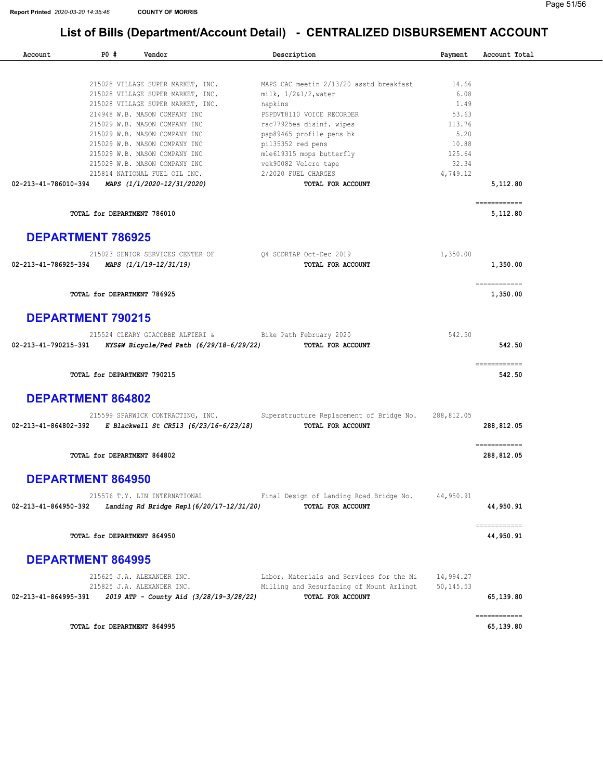#### Page 51/56

| Account                  | <b>PO #</b> | Vendor                                    | Description                                 | Payment    | Account Total                                                                                                                                                                                                                                                                                                                                                                                                                                                                                        |
|--------------------------|-------------|-------------------------------------------|---------------------------------------------|------------|------------------------------------------------------------------------------------------------------------------------------------------------------------------------------------------------------------------------------------------------------------------------------------------------------------------------------------------------------------------------------------------------------------------------------------------------------------------------------------------------------|
|                          |             |                                           |                                             |            |                                                                                                                                                                                                                                                                                                                                                                                                                                                                                                      |
|                          |             | 215028 VILLAGE SUPER MARKET, INC.         | MAPS CAC meetin 2/13/20 asstd breakfast     | 14.66      |                                                                                                                                                                                                                                                                                                                                                                                                                                                                                                      |
|                          |             | 215028 VILLAGE SUPER MARKET, INC.         | $milk, 1/2&1/2$ , water                     | 6.08       |                                                                                                                                                                                                                                                                                                                                                                                                                                                                                                      |
|                          |             | 215028 VILLAGE SUPER MARKET, INC.         | napkins                                     | 1.49       |                                                                                                                                                                                                                                                                                                                                                                                                                                                                                                      |
|                          |             | 214948 W.B. MASON COMPANY INC             | PSPDVT8110 VOICE RECORDER                   | 53.63      |                                                                                                                                                                                                                                                                                                                                                                                                                                                                                                      |
|                          |             | 215029 W.B. MASON COMPANY INC             | rac77925ea disinf. wipes                    | 113.76     |                                                                                                                                                                                                                                                                                                                                                                                                                                                                                                      |
|                          |             | 215029 W.B. MASON COMPANY INC             | pap89465 profile pens bk                    | 5.20       |                                                                                                                                                                                                                                                                                                                                                                                                                                                                                                      |
|                          |             | 215029 W.B. MASON COMPANY INC             | pil35352 red pens                           | 10.88      |                                                                                                                                                                                                                                                                                                                                                                                                                                                                                                      |
|                          |             | 215029 W.B. MASON COMPANY INC             | mle619315 mops butterfly                    | 125.64     |                                                                                                                                                                                                                                                                                                                                                                                                                                                                                                      |
|                          |             | 215029 W.B. MASON COMPANY INC             | vek90082 Velcro tape<br>2/2020 FUEL CHARGES | 32.34      |                                                                                                                                                                                                                                                                                                                                                                                                                                                                                                      |
|                          |             | 215814 NATIONAL FUEL OIL INC.             |                                             | 4,749.12   |                                                                                                                                                                                                                                                                                                                                                                                                                                                                                                      |
| 02-213-41-786010-394     |             | MAPS (1/1/2020-12/31/2020)                | <b>TOTAL FOR ACCOUNT</b>                    |            | 5,112.80                                                                                                                                                                                                                                                                                                                                                                                                                                                                                             |
|                          |             | TOTAL for DEPARTMENT 786010               |                                             |            | ============<br>5,112.80                                                                                                                                                                                                                                                                                                                                                                                                                                                                             |
| <b>DEPARTMENT 786925</b> |             |                                           |                                             |            |                                                                                                                                                                                                                                                                                                                                                                                                                                                                                                      |
|                          |             | 215023 SENIOR SERVICES CENTER OF          | 04 SCDRTAP Oct-Dec 2019                     | 1,350.00   |                                                                                                                                                                                                                                                                                                                                                                                                                                                                                                      |
| 02-213-41-786925-394     |             | MAPS (1/1/19-12/31/19)                    | TOTAL FOR ACCOUNT                           |            | 1,350.00                                                                                                                                                                                                                                                                                                                                                                                                                                                                                             |
|                          |             | TOTAL for DEPARTMENT 786925               |                                             |            | ecceccecece<br>1,350.00                                                                                                                                                                                                                                                                                                                                                                                                                                                                              |
|                          |             |                                           |                                             |            |                                                                                                                                                                                                                                                                                                                                                                                                                                                                                                      |
| <b>DEPARTMENT 790215</b> |             |                                           |                                             |            |                                                                                                                                                                                                                                                                                                                                                                                                                                                                                                      |
|                          |             | 215524 CLEARY GIACOBBE ALFIERI &          | Bike Path February 2020                     | 542.50     |                                                                                                                                                                                                                                                                                                                                                                                                                                                                                                      |
| 02-213-41-790215-391     |             | NYS&W Bicycle/Ped Path (6/29/18-6/29/22)  | TOTAL FOR ACCOUNT                           |            | 542.50                                                                                                                                                                                                                                                                                                                                                                                                                                                                                               |
|                          |             | TOTAL for DEPARTMENT 790215               |                                             |            | ------------<br>542.50                                                                                                                                                                                                                                                                                                                                                                                                                                                                               |
| <b>DEPARTMENT 864802</b> |             |                                           |                                             |            |                                                                                                                                                                                                                                                                                                                                                                                                                                                                                                      |
|                          |             | 215599 SPARWICK CONTRACTING, INC.         | Superstructure Replacement of Bridge No.    | 288,812.05 |                                                                                                                                                                                                                                                                                                                                                                                                                                                                                                      |
| 02-213-41-864802-392     |             | E Blackwell St CR513 (6/23/16-6/23/18)    | TOTAL FOR ACCOUNT                           |            | 288,812.05                                                                                                                                                                                                                                                                                                                                                                                                                                                                                           |
|                          |             | TOTAL for DEPARTMENT 864802               |                                             |            | $\begin{array}{cccccccccc} \multicolumn{2}{c}{} & \multicolumn{2}{c}{} & \multicolumn{2}{c}{} & \multicolumn{2}{c}{} & \multicolumn{2}{c}{} & \multicolumn{2}{c}{} & \multicolumn{2}{c}{} & \multicolumn{2}{c}{} & \multicolumn{2}{c}{} & \multicolumn{2}{c}{} & \multicolumn{2}{c}{} & \multicolumn{2}{c}{} & \multicolumn{2}{c}{} & \multicolumn{2}{c}{} & \multicolumn{2}{c}{} & \multicolumn{2}{c}{} & \multicolumn{2}{c}{} & \multicolumn{2}{c}{} & \multicolumn{2}{c}{} & \mult$<br>288,812.05 |
| <b>DEPARTMENT 864950</b> |             |                                           |                                             |            |                                                                                                                                                                                                                                                                                                                                                                                                                                                                                                      |
|                          |             | 215576 T.Y. LIN INTERNATIONAL             | Final Design of Landing Road Bridge No.     | 44,950.91  |                                                                                                                                                                                                                                                                                                                                                                                                                                                                                                      |
| 02-213-41-864950-392     |             | Landing Rd Bridge Repl (6/20/17-12/31/20) | TOTAL FOR ACCOUNT                           |            | 44,950.91                                                                                                                                                                                                                                                                                                                                                                                                                                                                                            |
|                          |             | TOTAL for DEPARTMENT 864950               |                                             |            | ------------<br>44,950.91                                                                                                                                                                                                                                                                                                                                                                                                                                                                            |
| <b>DEPARTMENT 864995</b> |             |                                           |                                             |            |                                                                                                                                                                                                                                                                                                                                                                                                                                                                                                      |
|                          |             | 215625 J.A. ALEXANDER INC.                | Labor, Materials and Services for the Mi    | 14,994.27  |                                                                                                                                                                                                                                                                                                                                                                                                                                                                                                      |
|                          |             | 215825 J.A. ALEXANDER INC.                | Milling and Resurfacing of Mount Arlingt    | 50,145.53  |                                                                                                                                                                                                                                                                                                                                                                                                                                                                                                      |
| 02-213-41-864995-391     |             | 2019 ATP - County Aid (3/28/19-3/28/22)   | TOTAL FOR ACCOUNT                           |            | 65,139.80                                                                                                                                                                                                                                                                                                                                                                                                                                                                                            |
|                          |             | TOTAL for DEPARTMENT 864995               |                                             |            | ============<br>65,139.80                                                                                                                                                                                                                                                                                                                                                                                                                                                                            |
|                          |             |                                           |                                             |            |                                                                                                                                                                                                                                                                                                                                                                                                                                                                                                      |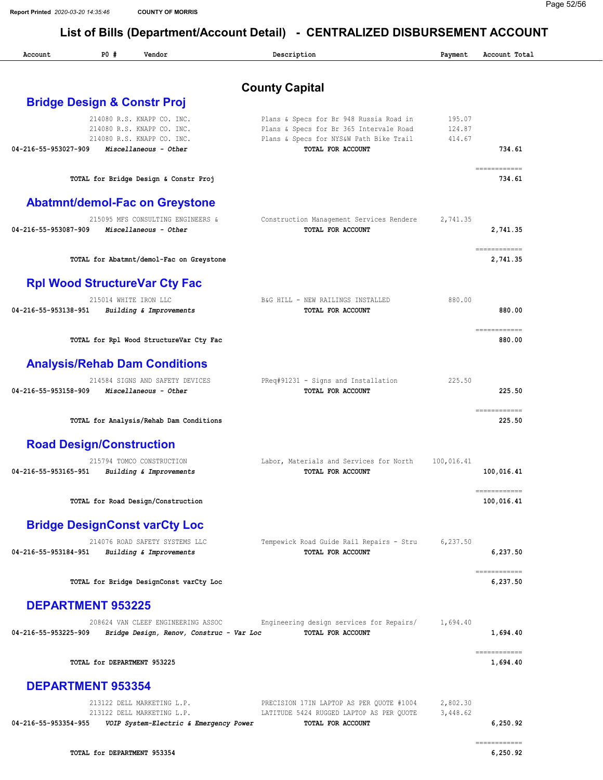| Account              | P0#<br>Vendor                                                        | Description                                                                        | Payment          | Account Total              |
|----------------------|----------------------------------------------------------------------|------------------------------------------------------------------------------------|------------------|----------------------------|
|                      |                                                                      | <b>County Capital</b>                                                              |                  |                            |
|                      | <b>Bridge Design &amp; Constr Proj</b>                               |                                                                                    |                  |                            |
|                      | 214080 R.S. KNAPP CO. INC.                                           | Plans & Specs for Br 948 Russia Road in                                            | 195.07           |                            |
|                      | 214080 R.S. KNAPP CO. INC.<br>214080 R.S. KNAPP CO. INC.             | Plans & Specs for Br 365 Intervale Road<br>Plans & Specs for NYS&W Path Bike Trail | 124.87<br>414.67 |                            |
| 04-216-55-953027-909 | Miscellaneous - Other                                                | <b>TOTAL FOR ACCOUNT</b>                                                           |                  | 734.61                     |
|                      | TOTAL for Bridge Design & Constr Proj                                |                                                                                    |                  | ------------<br>734.61     |
|                      | <b>Abatmnt/demol-Fac on Greystone</b>                                |                                                                                    |                  |                            |
|                      | 215095 MFS CONSULTING ENGINEERS &                                    | Construction Management Services Rendere                                           | 2,741.35         |                            |
| 04-216-55-953087-909 | Miscellaneous - Other                                                | TOTAL FOR ACCOUNT                                                                  |                  | 2,741.35<br>============   |
|                      | TOTAL for Abatmnt/demol-Fac on Greystone                             |                                                                                    |                  | 2,741.35                   |
|                      | <b>Rpl Wood StructureVar Cty Fac</b>                                 |                                                                                    |                  |                            |
| 04-216-55-953138-951 | 215014 WHITE IRON LLC<br>Building & Improvements                     | B&G HILL - NEW RAILINGS INSTALLED<br>TOTAL FOR ACCOUNT                             | 880.00           | 880.00                     |
|                      |                                                                      |                                                                                    |                  | ============               |
|                      | TOTAL for Rpl Wood StructureVar Cty Fac                              |                                                                                    |                  | 880.00                     |
|                      | <b>Analysis/Rehab Dam Conditions</b>                                 |                                                                                    |                  |                            |
|                      | 214584 SIGNS AND SAFETY DEVICES                                      | PReq#91231 - Signs and Installation                                                | 225.50           |                            |
| 04-216-55-953158-909 | Miscellaneous - Other                                                | TOTAL FOR ACCOUNT                                                                  |                  | 225.50<br>============     |
|                      | TOTAL for Analysis/Rehab Dam Conditions                              |                                                                                    |                  | 225.50                     |
|                      | <b>Road Design/Construction</b>                                      |                                                                                    |                  |                            |
|                      | 215794 TOMCO CONSTRUCTION                                            | Labor, Materials and Services for North                                            | 100,016.41       |                            |
| 04-216-55-953165-951 | Building & Improvements                                              | TOTAL FOR ACCOUNT                                                                  |                  | 100,016.41                 |
|                      | TOTAL for Road Design/Construction                                   |                                                                                    |                  | ============<br>100,016.41 |
|                      | <b>Bridge DesignConst varCty Loc</b>                                 |                                                                                    |                  |                            |
|                      | 214076 ROAD SAFETY SYSTEMS LLC                                       | Tempewick Road Guide Rail Repairs - Stru                                           | 6,237.50         |                            |
| 04-216-55-953184-951 | Building & Improvements                                              | TOTAL FOR ACCOUNT                                                                  |                  | 6,237.50                   |
|                      | TOTAL for Bridge DesignConst varCty Loc                              |                                                                                    |                  | ------------<br>6,237.50   |
|                      | <b>DEPARTMENT 953225</b>                                             |                                                                                    |                  |                            |
| 04-216-55-953225-909 | 208624 VAN CLEEF ENGINEERING ASSOC                                   | Engineering design services for Repairs/<br>TOTAL FOR ACCOUNT                      | 1,694.40         | 1,694.40                   |
|                      | Bridge Design, Renov, Construc - Var Loc                             |                                                                                    |                  | ============               |
|                      | TOTAL for DEPARTMENT 953225                                          |                                                                                    |                  | 1,694.40                   |
|                      | <b>DEPARTMENT 953354</b>                                             |                                                                                    |                  |                            |
|                      | 213122 DELL MARKETING L.P.                                           | PRECISION 17IN LAPTOP AS PER QUOTE #1004                                           | 2,802.30         |                            |
| 04-216-55-953354-955 | 213122 DELL MARKETING L.P.<br>VOIP System-Electric & Emergency Power | LATITUDE 5424 RUGGED LAPTOP AS PER QUOTE<br>TOTAL FOR ACCOUNT                      | 3,448.62         | 6,250.92                   |
|                      |                                                                      |                                                                                    |                  | ============               |
|                      | TOTAL for DEPARTMENT 953354                                          |                                                                                    |                  | 6,250.92                   |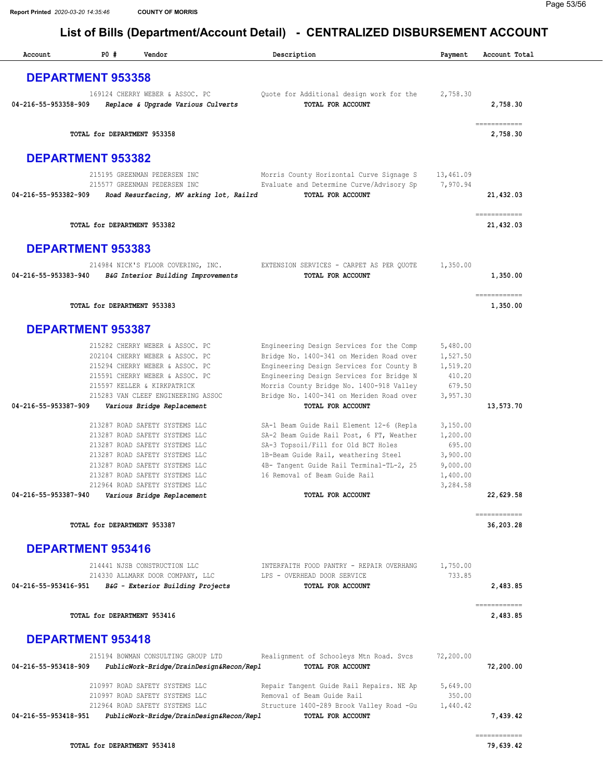| Account                  | P0#                         | Vendor                                                                   | Description                                                                          | Payment              | Account Total             |
|--------------------------|-----------------------------|--------------------------------------------------------------------------|--------------------------------------------------------------------------------------|----------------------|---------------------------|
| <b>DEPARTMENT 953358</b> |                             |                                                                          |                                                                                      |                      |                           |
| 04-216-55-953358-909     |                             | 169124 CHERRY WEBER & ASSOC. PC<br>Replace & Upgrade Various Culverts    | Quote for Additional design work for the<br>TOTAL FOR ACCOUNT                        | 2,758.30             | 2,758.30                  |
|                          | TOTAL for DEPARTMENT 953358 |                                                                          |                                                                                      |                      | ============<br>2,758.30  |
| <b>DEPARTMENT 953382</b> |                             |                                                                          |                                                                                      |                      |                           |
|                          |                             | 215195 GREENMAN PEDERSEN INC                                             | Morris County Horizontal Curve Signage S                                             | 13,461.09            |                           |
| 04-216-55-953382-909     |                             | 215577 GREENMAN PEDERSEN INC<br>Road Resurfacing, MV arking lot, Railrd  | Evaluate and Determine Curve/Advisory Sp<br><b>TOTAL FOR ACCOUNT</b>                 | 7,970.94             | 21,432.03                 |
|                          | TOTAL for DEPARTMENT 953382 |                                                                          |                                                                                      |                      | ============<br>21,432.03 |
| <b>DEPARTMENT 953383</b> |                             |                                                                          |                                                                                      |                      |                           |
| 04-216-55-953383-940     |                             | 214984 NICK'S FLOOR COVERING, INC.<br>B&G Interior Building Improvements | EXTENSION SERVICES - CARPET AS PER QUOTE<br>TOTAL FOR ACCOUNT                        | 1,350.00             | 1,350.00                  |
|                          | TOTAL for DEPARTMENT 953383 |                                                                          |                                                                                      |                      | ============<br>1,350.00  |
| <b>DEPARTMENT 953387</b> |                             |                                                                          |                                                                                      |                      |                           |
|                          |                             | 215282 CHERRY WEBER & ASSOC. PC                                          | Engineering Design Services for the Comp                                             | 5,480.00             |                           |
|                          |                             | 202104 CHERRY WEBER & ASSOC. PC                                          | Bridge No. 1400-341 on Meriden Road over                                             | 1,527.50             |                           |
|                          |                             | 215294 CHERRY WEBER & ASSOC. PC<br>215591 CHERRY WEBER & ASSOC. PC       | Engineering Design Services for County B<br>Engineering Design Services for Bridge N | 1,519.20<br>410.20   |                           |
|                          |                             | 215597 KELLER & KIRKPATRICK                                              | Morris County Bridge No. 1400-918 Valley                                             | 679.50               |                           |
|                          |                             | 215283 VAN CLEEF ENGINEERING ASSOC                                       | Bridge No. 1400-341 on Meriden Road over                                             | 3,957.30             |                           |
| 04-216-55-953387-909     |                             | Various Bridge Replacement                                               | TOTAL FOR ACCOUNT                                                                    |                      | 13,573.70                 |
|                          |                             | 213287 ROAD SAFETY SYSTEMS LLC                                           | SA-1 Beam Guide Rail Element 12-6 (Repla                                             | 3,150.00             |                           |
|                          |                             | 213287 ROAD SAFETY SYSTEMS LLC                                           | SA-2 Beam Guide Rail Post, 6 FT, Weather                                             | 1,200.00             |                           |
|                          |                             | 213287 ROAD SAFETY SYSTEMS LLC                                           | SA-3 Topsoil/Fill for Old BCT Holes                                                  | 695.00               |                           |
|                          |                             | 213287 ROAD SAFETY SYSTEMS LLC<br>213287 ROAD SAFETY SYSTEMS LLC         | 1B-Beam Guide Rail, weathering Steel<br>4B- Tangent Guide Rail Terminal-TL-2, 25     | 3,900.00<br>9,000.00 |                           |
|                          |                             | 213287 ROAD SAFETY SYSTEMS LLC                                           | 16 Removal of Beam Guide Rail                                                        | 1,400.00             |                           |
|                          |                             | 212964 ROAD SAFETY SYSTEMS LLC                                           |                                                                                      | 3,284.58             |                           |
| 04-216-55-953387-940     |                             | Various Bridge Replacement                                               | <b>TOTAL FOR ACCOUNT</b>                                                             |                      | 22,629.58                 |
|                          | TOTAL for DEPARTMENT 953387 |                                                                          |                                                                                      |                      | ============<br>36,203.28 |
| <b>DEPARTMENT 953416</b> |                             |                                                                          |                                                                                      |                      |                           |
|                          |                             | 214441 NJSB CONSTRUCTION LLC                                             | INTERFAITH FOOD PANTRY - REPAIR OVERHANG                                             | 1,750.00             |                           |
| 04-216-55-953416-951     |                             | 214330 ALLMARK DOOR COMPANY, LLC<br>B&G - Exterior Building Projects     | LPS - OVERHEAD DOOR SERVICE<br>TOTAL FOR ACCOUNT                                     | 733.85               | 2,483.85                  |
|                          | TOTAL for DEPARTMENT 953416 |                                                                          |                                                                                      |                      | ============<br>2,483.85  |
| <b>DEPARTMENT 953418</b> |                             |                                                                          |                                                                                      |                      |                           |
|                          |                             | 215194 BOWMAN CONSULTING GROUP LTD                                       | Realignment of Schooleys Mtn Road. Svcs                                              | 72,200.00            |                           |
| 04-216-55-953418-909     |                             | PublicWork-Bridge/DrainDesign&Recon/Repl                                 | TOTAL FOR ACCOUNT                                                                    |                      | 72,200.00                 |
|                          |                             | 210997 ROAD SAFETY SYSTEMS LLC                                           | Repair Tangent Guide Rail Repairs. NE Ap                                             | 5,649.00             |                           |
|                          |                             | 210997 ROAD SAFETY SYSTEMS LLC                                           | Removal of Beam Guide Rail                                                           | 350.00               |                           |
|                          |                             | 212964 ROAD SAFETY SYSTEMS LLC                                           | Structure 1400-289 Brook Valley Road -Gu                                             | 1,440.42             |                           |
| 04-216-55-953418-951     |                             | PublicWork-Bridge/DrainDesign&Recon/Repl                                 | TOTAL FOR ACCOUNT                                                                    |                      | 7,439.42                  |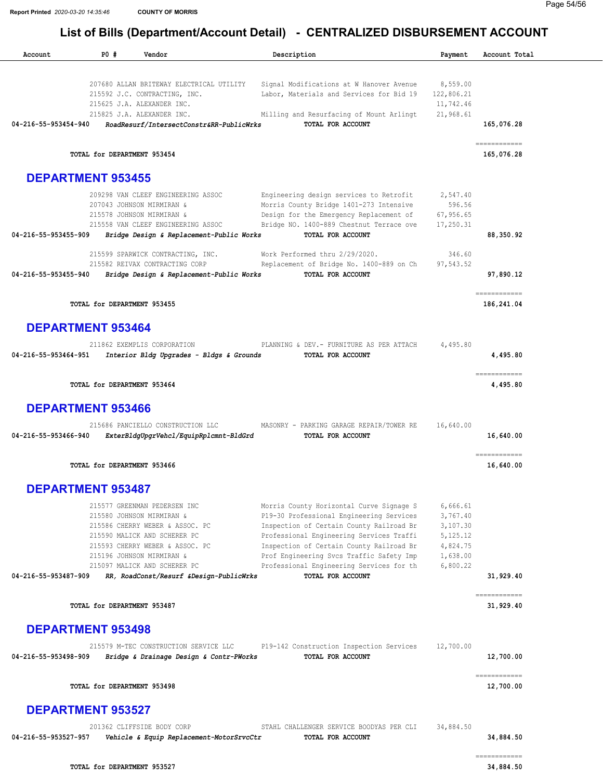Report Printed 2020-03-20 14:35:46 COUNTY OF MORRIS

| P0#<br>Account           | Vendor                                                                                                                                                                                                                                                                  | Description                                                                                                                                                                                                                                                                                                                           | Payment                                                                            | Account Total              |
|--------------------------|-------------------------------------------------------------------------------------------------------------------------------------------------------------------------------------------------------------------------------------------------------------------------|---------------------------------------------------------------------------------------------------------------------------------------------------------------------------------------------------------------------------------------------------------------------------------------------------------------------------------------|------------------------------------------------------------------------------------|----------------------------|
| 04-216-55-953454-940     | 207680 ALLAN BRITEWAY ELECTRICAL UTILITY<br>215592 J.C. CONTRACTING, INC.<br>215625 J.A. ALEXANDER INC.<br>215825 J.A. ALEXANDER INC.<br>RoadResurf/IntersectConstr&RR-PublicWrks                                                                                       | Signal Modifications at W Hanover Avenue<br>Labor, Materials and Services for Bid 19<br>Milling and Resurfacing of Mount Arlingt<br>TOTAL FOR ACCOUNT                                                                                                                                                                                 | 8,559.00<br>122,806.21<br>11,742.46<br>21,968.61                                   | 165,076.28                 |
|                          | TOTAL for DEPARTMENT 953454                                                                                                                                                                                                                                             |                                                                                                                                                                                                                                                                                                                                       |                                                                                    | ------------<br>165,076.28 |
| <b>DEPARTMENT 953455</b> |                                                                                                                                                                                                                                                                         |                                                                                                                                                                                                                                                                                                                                       |                                                                                    |                            |
| 04-216-55-953455-909     | 209298 VAN CLEEF ENGINEERING ASSOC<br>207043 JOHNSON MIRMIRAN &<br>215578 JOHNSON MIRMIRAN &<br>215558 VAN CLEEF ENGINEERING ASSOC<br>Bridge Design & Replacement-Public Works                                                                                          | Engineering design services to Retrofit<br>Morris County Bridge 1401-273 Intensive<br>Design for the Emergency Replacement of<br>Bridge NO. 1400-889 Chestnut Terrace ove<br>TOTAL FOR ACCOUNT                                                                                                                                        | 2,547.40<br>596.56<br>67,956.65<br>17,250.31                                       | 88,350.92                  |
|                          | 215599 SPARWICK CONTRACTING, INC.<br>215582 REIVAX CONTRACTING CORP                                                                                                                                                                                                     | Work Performed thru 2/29/2020.<br>Replacement of Bridge No. 1400-889 on Ch                                                                                                                                                                                                                                                            | 346.60<br>97,543.52                                                                |                            |
| 04-216-55-953455-940     | Bridge Design & Replacement-Public Works                                                                                                                                                                                                                                | TOTAL FOR ACCOUNT                                                                                                                                                                                                                                                                                                                     |                                                                                    | 97,890.12                  |
|                          | TOTAL for DEPARTMENT 953455                                                                                                                                                                                                                                             |                                                                                                                                                                                                                                                                                                                                       |                                                                                    | ============<br>186,241.04 |
| <b>DEPARTMENT 953464</b> |                                                                                                                                                                                                                                                                         |                                                                                                                                                                                                                                                                                                                                       |                                                                                    |                            |
| 04-216-55-953464-951     | 211862 EXEMPLIS CORPORATION<br>Interior Bldg Upgrades - Bldgs & Grounds                                                                                                                                                                                                 | PLANNING & DEV. - FURNITURE AS PER ATTACH<br>TOTAL FOR ACCOUNT                                                                                                                                                                                                                                                                        | 4,495.80                                                                           | 4,495.80                   |
|                          | TOTAL for DEPARTMENT 953464                                                                                                                                                                                                                                             |                                                                                                                                                                                                                                                                                                                                       |                                                                                    | ------------<br>4,495.80   |
| <b>DEPARTMENT 953466</b> |                                                                                                                                                                                                                                                                         |                                                                                                                                                                                                                                                                                                                                       |                                                                                    |                            |
| 04-216-55-953466-940     | 215686 PANCIELLO CONSTRUCTION LLC<br>ExterBldgUpgrVehcl/EquipRplcmnt-BldGrd                                                                                                                                                                                             | MASONRY - PARKING GARAGE REPAIR/TOWER RE<br>TOTAL FOR ACCOUNT                                                                                                                                                                                                                                                                         | 16,640.00                                                                          | 16,640.00                  |
|                          | TOTAL for DEPARTMENT 953466                                                                                                                                                                                                                                             |                                                                                                                                                                                                                                                                                                                                       |                                                                                    | ============<br>16,640.00  |
| <b>DEPARTMENT 953487</b> |                                                                                                                                                                                                                                                                         |                                                                                                                                                                                                                                                                                                                                       |                                                                                    |                            |
| 04-216-55-953487-909     | 215577 GREENMAN PEDERSEN INC<br>215580 JOHNSON MIRMIRAN &<br>215586 CHERRY WEBER & ASSOC. PC<br>215590 MALICK AND SCHERER PC<br>215593 CHERRY WEBER & ASSOC. PC<br>215196 JOHNSON MIRMIRAN &<br>215097 MALICK AND SCHERER PC<br>RR, RoadConst/Resurf &Design-PublicWrks | Morris County Horizontal Curve Signage S<br>P19-30 Professional Engineering Services<br>Inspection of Certain County Railroad Br<br>Professional Engineering Services Traffi<br>Inspection of Certain County Railroad Br<br>Prof Engineering Svcs Traffic Safety Imp<br>Professional Engineering Services for th<br>TOTAL FOR ACCOUNT | 6,666.61<br>3,767.40<br>3,107.30<br>5, 125. 12<br>4,824.75<br>1,638.00<br>6,800.22 | 31,929.40                  |
|                          | TOTAL for DEPARTMENT 953487                                                                                                                                                                                                                                             |                                                                                                                                                                                                                                                                                                                                       |                                                                                    | ============<br>31,929.40  |
| <b>DEPARTMENT 953498</b> |                                                                                                                                                                                                                                                                         |                                                                                                                                                                                                                                                                                                                                       |                                                                                    |                            |
| 04-216-55-953498-909     | 215579 M-TEC CONSTRUCTION SERVICE LLC<br>Bridge & Drainage Design & Contr-PWorks                                                                                                                                                                                        | P19-142 Construction Inspection Services<br>TOTAL FOR ACCOUNT                                                                                                                                                                                                                                                                         | 12,700.00                                                                          | 12,700.00                  |
|                          | TOTAL for DEPARTMENT 953498                                                                                                                                                                                                                                             |                                                                                                                                                                                                                                                                                                                                       |                                                                                    | ------------<br>12,700.00  |
| <b>DEPARTMENT 953527</b> |                                                                                                                                                                                                                                                                         |                                                                                                                                                                                                                                                                                                                                       |                                                                                    |                            |
|                          | 201362 CLIFFSIDE BODY CORP                                                                                                                                                                                                                                              | STAHL CHALLENGER SERVICE BOODYAS PER CLI                                                                                                                                                                                                                                                                                              | 34,884.50                                                                          |                            |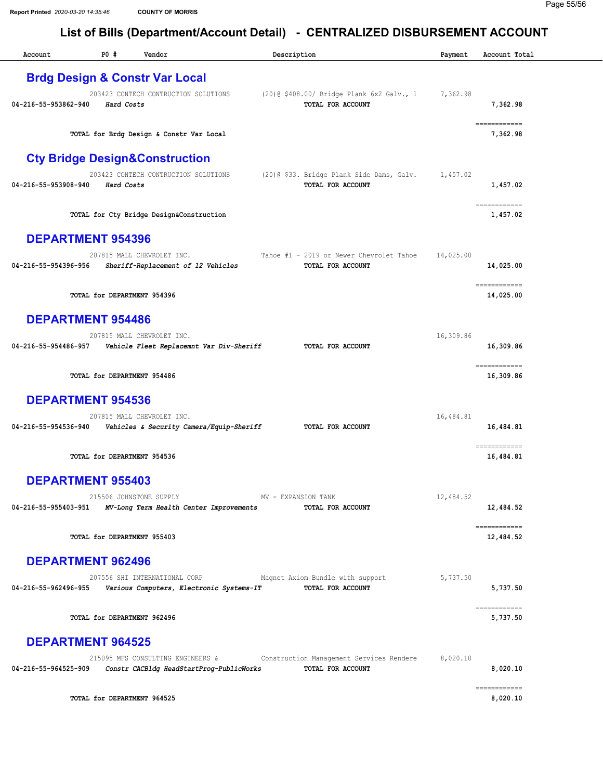| Account                  | P0#        | Vendor                                                                        | Description                                                                | Payment   | Account Total             |
|--------------------------|------------|-------------------------------------------------------------------------------|----------------------------------------------------------------------------|-----------|---------------------------|
|                          |            | <b>Brdg Design &amp; Constr Var Local</b>                                     |                                                                            |           |                           |
|                          |            | 203423 CONTECH CONTRUCTION SOLUTIONS                                          | (20) @ \$408.00/ Bridge Plank 6x2 Galv., 1                                 | 7,362.98  |                           |
| 04-216-55-953862-940     | Hard Costs |                                                                               | TOTAL FOR ACCOUNT                                                          |           | 7,362.98                  |
|                          |            | TOTAL for Brdg Design & Constr Var Local                                      |                                                                            |           | ------------<br>7,362.98  |
|                          |            | <b>Cty Bridge Design&amp;Construction</b>                                     |                                                                            |           |                           |
| 04-216-55-953908-940     | Hard Costs | 203423 CONTECH CONTRUCTION SOLUTIONS                                          | $(20)$ $(333.$ Bridge Plank Side Dams, Galv. 1,457.02<br>TOTAL FOR ACCOUNT |           | 1,457.02                  |
|                          |            | TOTAL for Cty Bridge Design&Construction                                      |                                                                            |           | ------------<br>1,457.02  |
| <b>DEPARTMENT 954396</b> |            |                                                                               |                                                                            |           |                           |
| 04-216-55-954396-956     |            | 207815 MALL CHEVROLET INC.<br>Sheriff-Replacement of 12 Vehicles              | Tahoe #1 - 2019 or Newer Chevrolet Tahoe<br>TOTAL FOR ACCOUNT              | 14,025.00 | 14,025.00                 |
|                          |            | TOTAL for DEPARTMENT 954396                                                   |                                                                            |           | ------------<br>14,025.00 |
| <b>DEPARTMENT 954486</b> |            |                                                                               |                                                                            |           |                           |
| 04-216-55-954486-957     |            | 207815 MALL CHEVROLET INC.<br>Vehicle Fleet Replacemnt Var Div-Sheriff        | TOTAL FOR ACCOUNT                                                          | 16,309.86 | 16,309.86                 |
|                          |            | TOTAL for DEPARTMENT 954486                                                   |                                                                            |           | ------------<br>16,309.86 |
| <b>DEPARTMENT 954536</b> |            |                                                                               |                                                                            |           |                           |
| 04-216-55-954536-940     |            | 207815 MALL CHEVROLET INC.<br>Vehicles & Security Camera/Equip-Sheriff        | TOTAL FOR ACCOUNT                                                          | 16,484.81 | 16,484.81                 |
|                          |            |                                                                               |                                                                            |           | ============              |
|                          |            | TOTAL for DEPARTMENT 954536                                                   |                                                                            |           | 16,484.81                 |
| <b>DEPARTMENT 955403</b> |            |                                                                               |                                                                            |           |                           |
| 04-216-55-955403-951     |            | 215506 JOHNSTONE SUPPLY<br>MV-Long Term Health Center Improvements            | MV - EXPANSION TANK<br>TOTAL FOR ACCOUNT                                   | 12,484.52 | 12,484.52                 |
|                          |            | TOTAL for DEPARTMENT 955403                                                   |                                                                            |           | ============<br>12,484.52 |
| <b>DEPARTMENT 962496</b> |            |                                                                               |                                                                            |           |                           |
| 04-216-55-962496-955     |            | 207556 SHI INTERNATIONAL CORP<br>Various Computers, Electronic Systems-IT     | Magnet Axiom Bundle with support<br><b>TOTAL FOR ACCOUNT</b>               | 5,737.50  | 5,737.50                  |
|                          |            | TOTAL for DEPARTMENT 962496                                                   |                                                                            |           | ------------<br>5,737.50  |
| <b>DEPARTMENT 964525</b> |            |                                                                               |                                                                            |           |                           |
| 04-216-55-964525-909     |            | 215095 MFS CONSULTING ENGINEERS &<br>Constr CACBldg HeadStartProg-PublicWorks | Construction Management Services Rendere<br>TOTAL FOR ACCOUNT              | 8,020.10  | 8,020.10                  |
|                          |            | TOTAL for DEPARTMENT 964525                                                   |                                                                            |           | ------------<br>8,020.10  |